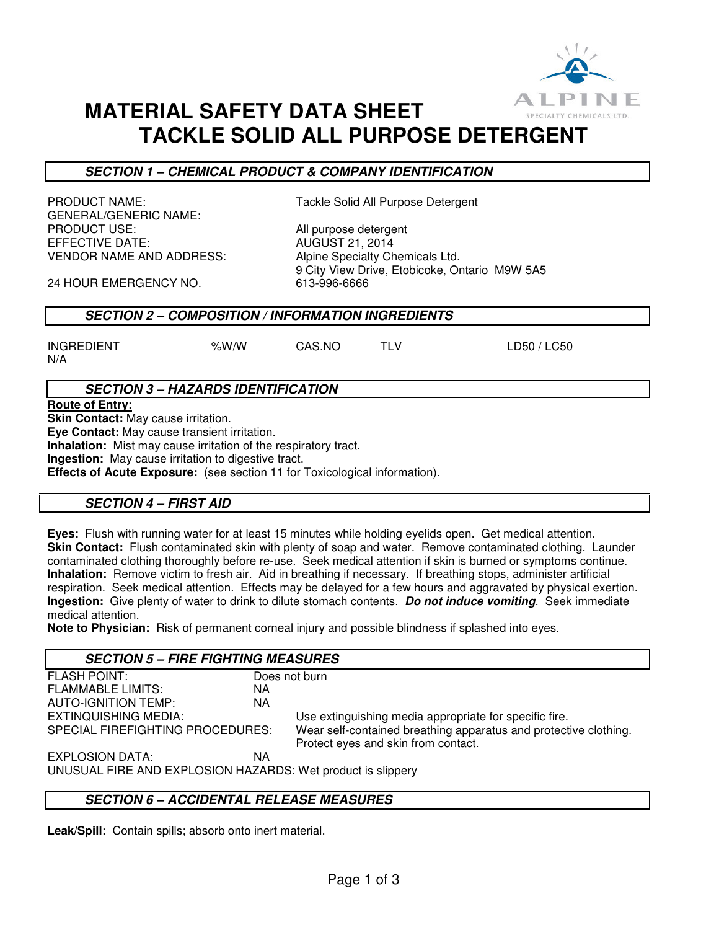

# **MATERIAL SAFETY DATA SHEET TACKLE SOLID ALL PURPOSE DETERGENT**

# **SECTION 1 – CHEMICAL PRODUCT & COMPANY IDENTIFICATION**

GENERAL/GENERIC NAME: PRODUCT USE:  $\overline{A}$  all purpose detergent<br>EFFECTIVE DATE:  $\overline{A}$  august 21.2014 VENDOR NAME AND ADDRESS: Alpine Specialty Chemicals Ltd.

PRODUCT NAME: Tackle Solid All Purpose Detergent

**AUGUST 21, 2014** 9 City View Drive, Etobicoke, Ontario M9W 5A5<br>613-996-6666

24 HOUR EMERGENCY NO.

# **SECTION 2 – COMPOSITION / INFORMATION INGREDIENTS**

INGREDIENT %W/W CAS.NO TLV LD50 / LC50 N/A

**SECTION 3 – HAZARDS IDENTIFICATION**

**Route of Entry:** 

**Skin Contact:** May cause irritation.

**Eye Contact:** May cause transient irritation.

**Inhalation:** Mist may cause irritation of the respiratory tract.

**Ingestion:** May cause irritation to digestive tract.

**Effects of Acute Exposure:** (see section 11 for Toxicological information).

# **SECTION 4 – FIRST AID**

**Eyes:** Flush with running water for at least 15 minutes while holding eyelids open. Get medical attention. **Skin Contact:** Flush contaminated skin with plenty of soap and water. Remove contaminated clothing. Launder contaminated clothing thoroughly before re-use. Seek medical attention if skin is burned or symptoms continue. **Inhalation:** Remove victim to fresh air. Aid in breathing if necessary. If breathing stops, administer artificial respiration. Seek medical attention. Effects may be delayed for a few hours and aggravated by physical exertion. **Ingestion:** Give plenty of water to drink to dilute stomach contents. **Do not induce vomiting**. Seek immediate medical attention.

**Note to Physician:** Risk of permanent corneal injury and possible blindness if splashed into eyes.

#### **SECTION 5 – FIRE FIGHTING MEASURES** FLASH POINT: Does not burn FLAMMABLE LIMITS: NA AUTO-IGNITION TEMP: NA EXTINQUISHING MEDIA:<br>SPECIAL FIREFIGHTING PROCEDURES: Wear self-contained breathing apparatus and protect Wear self-contained breathing apparatus and protective clothing. Protect eyes and skin from contact. EXPLOSION DATA: NA UNUSUAL FIRE AND EXPLOSION HAZARDS: Wet product is slippery

# **SECTION 6 – ACCIDENTAL RELEASE MEASURES**

**Leak/Spill:** Contain spills; absorb onto inert material.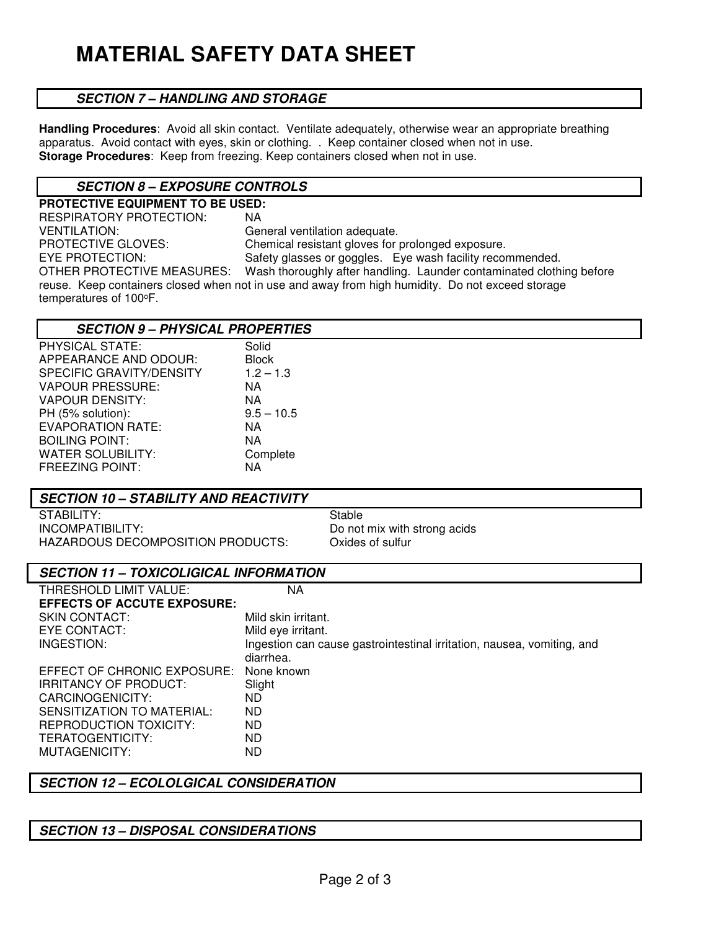### **SECTION 7 – HANDLING AND STORAGE**

**Handling Procedures**: Avoid all skin contact. Ventilate adequately, otherwise wear an appropriate breathing apparatus. Avoid contact with eyes, skin or clothing. . Keep container closed when not in use. **Storage Procedures**: Keep from freezing. Keep containers closed when not in use.

### **SECTION 8 – EXPOSURE CONTROLS**

**PROTECTIVE EQUIPMENT TO BE USED:**  RESPIRATORY PROTECTION: NA VENTILATION: CENTILATION: General ventilation adequate.<br>
PROTECTIVE GLOVES: Chemical resistant gloves for PROTECTIVE GLOVES:<br>
EYE PROTECTION: Safety glasses or goggles. Eve wash facility recor EYE PROTECTION: Safety glasses or goggles. Eye wash facility recommended.<br>OTHER PROTECTIVE MEASURES: Wash thoroughly after handling. Launder contaminated cloth Wash thoroughly after handling. Launder contaminated clothing before reuse. Keep containers closed when not in use and away from high humidity. Do not exceed storage temperatures of 100°F.

| <b>SECTION 9 - PHYSICAL PROPERTIES</b> |              |
|----------------------------------------|--------------|
| PHYSICAL STATE:                        | Solid        |
| APPEARANCE AND ODOUR:                  | <b>Block</b> |
| <b>SPECIFIC GRAVITY/DENSITY</b>        | $1.2 - 1.3$  |
| <b>VAPOUR PRESSURE:</b>                | ΝA           |
| VAPOUR DENSITY:                        | NA           |
| PH (5% solution):                      | $9.5 - 10.5$ |
| EVAPORATION RATE:                      | ΝA           |
| <b>BOILING POINT:</b>                  | NA           |
| WATER SOLUBILITY:                      | Complete     |
| <b>FREEZING POINT:</b>                 | ΝA           |

STABILITY: STABILITY: INCOMPATIBILITY:<br>
HAZARDOUS DECOMPOSITION PRODUCTS: Oxides of sulfur<br>
Oxides of sulfur HAZARDOUS DECOMPOSITION PRODUCTS:

| <b>SECTION 11 - TOXICOLIGICAL INFORMATION</b>                          |  |
|------------------------------------------------------------------------|--|
| NA                                                                     |  |
| <b>EFFECTS OF ACCUTE EXPOSURE:</b>                                     |  |
| Mild skin irritant.                                                    |  |
| Mild eye irritant.                                                     |  |
| Ingestion can cause gastrointestinal irritation, nausea, vomiting, and |  |
| diarrhea.                                                              |  |
| None known                                                             |  |
| Slight                                                                 |  |
| ND.                                                                    |  |
| ND.                                                                    |  |
| ND.                                                                    |  |
| ND.                                                                    |  |
| ND                                                                     |  |
|                                                                        |  |

### **SECTION 12 – ECOLOLGICAL CONSIDERATION**

### **SECTION 13 – DISPOSAL CONSIDERATIONS**